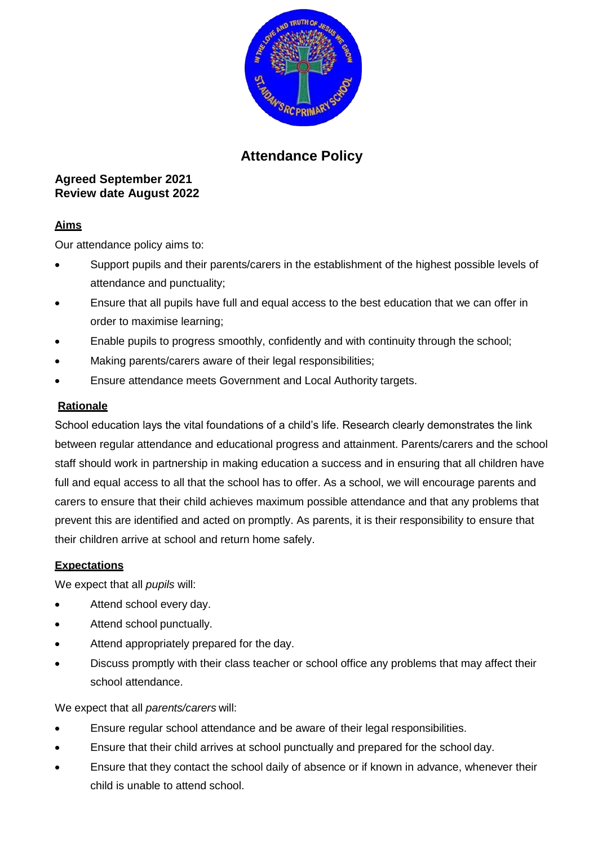

# **Attendance Policy**

# **Agreed September 2021 Review date August 2022**

# **Aims**

Our attendance policy aims to:

- Support pupils and their parents/carers in the establishment of the highest possible levels of attendance and punctuality;
- Ensure that all pupils have full and equal access to the best education that we can offer in order to maximise learning;
- Enable pupils to progress smoothly, confidently and with continuity through the school;
- Making parents/carers aware of their legal responsibilities;
- Ensure attendance meets Government and Local Authority targets.

# **Rationale**

School education lays the vital foundations of a child's life. Research clearly demonstrates the link between regular attendance and educational progress and attainment. Parents/carers and the school staff should work in partnership in making education a success and in ensuring that all children have full and equal access to all that the school has to offer. As a school, we will encourage parents and carers to ensure that their child achieves maximum possible attendance and that any problems that prevent this are identified and acted on promptly. As parents, it is their responsibility to ensure that their children arrive at school and return home safely.

# **Expectations**

We expect that all *pupils* will:

- Attend school every day.
- Attend school punctually.
- Attend appropriately prepared for the day.
- Discuss promptly with their class teacher or school office any problems that may affect their school attendance.

We expect that all *parents/carers* will:

- Ensure regular school attendance and be aware of their legal responsibilities.
- Ensure that their child arrives at school punctually and prepared for the school day.
- Ensure that they contact the school daily of absence or if known in advance, whenever their child is unable to attend school.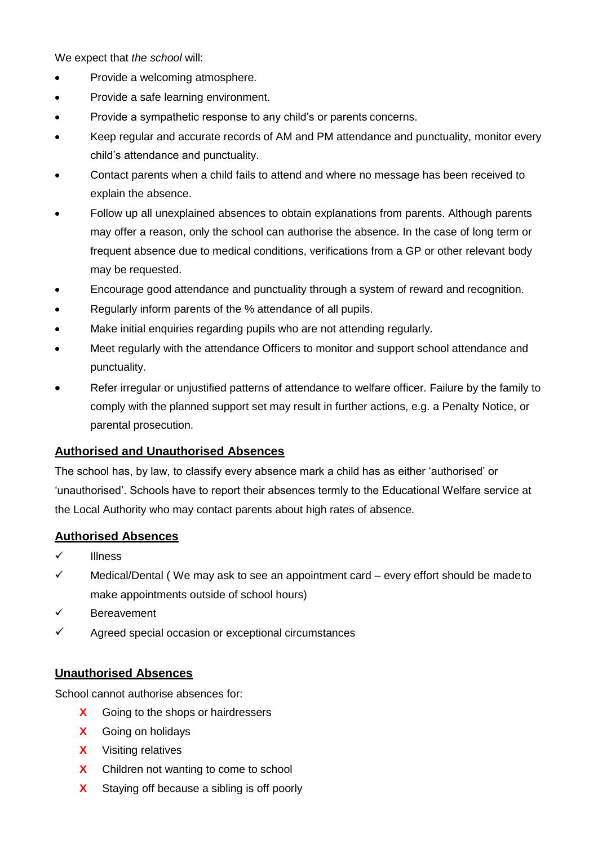We expect that *the school* will:

- Provide a welcoming atmosphere.
- Provide a safe learning environment.
- Provide a sympathetic response to any child's or parents concerns.
- Keep regular and accurate records of AM and PM attendance and punctuality, monitor every child's attendance and punctuality.
- Contact parents when a child fails to attend and where no message has been received to explain the absence.
- Follow up all unexplained absences to obtain explanations from parents. Although parents may offer a reason, only the school can authorise the absence. In the case of long term or frequent absence due to medical conditions, verifications from a GP or other relevant body may be requested.
- Encourage good attendance and punctuality through a system of reward and recognition.
- Regularly inform parents of the % attendance of all pupils.
- Make initial enquiries regarding pupils who are not attending regularly.
- Meet regularly with the attendance Officers to monitor and support school attendance and punctuality.
- Refer irregular or unjustified patterns of attendance to welfare officer. Failure by the family to comply with the planned support set may result in further actions, e.g. a Penalty Notice, or parental prosecution.

# **Authorised and Unauthorised Absences**

The school has, by law, to classify every absence mark a child has as either 'authorised' or 'unauthorised'. Schools have to report their absences termly to the Educational Welfare service at the Local Authority who may contact parents about high rates of absence.

# **Authorised Absences**

- Illness
- Medical/Dental ( We may ask to see an appointment card every effort should be madeto make appointments outside of school hours)
- $\checkmark$  Bereavement
- $\checkmark$  Agreed special occasion or exceptional circumstances

# **Unauthorised Absences**

School cannot authorise absences for:

- **X** Going to the shops or hairdressers
- **X** Going on holidays
- **X** Visiting relatives
- **X** Children not wanting to come to school
- **X** Staying off because a sibling is off poorly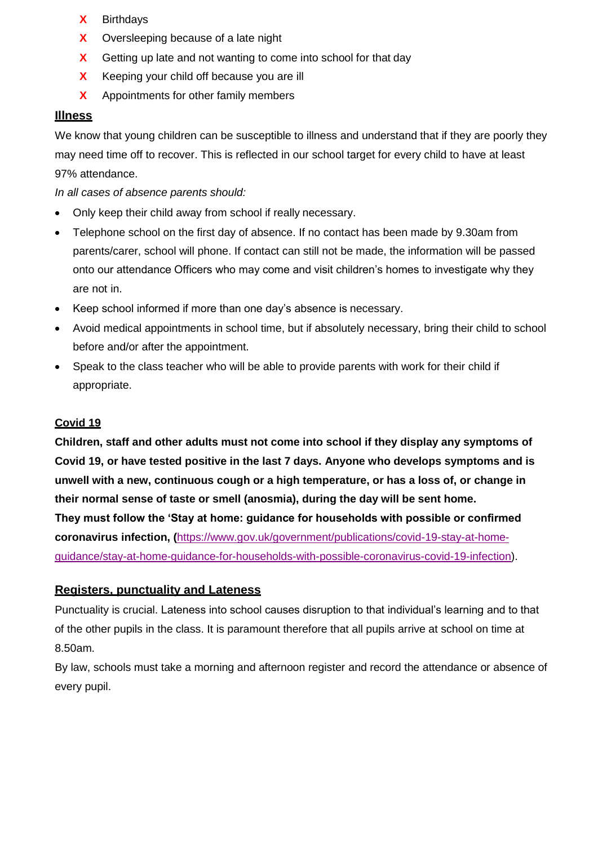- **X** Birthdays
- **X** Oversleeping because of a late night
- **X** Getting up late and not wanting to come into school for that day
- **X** Keeping your child off because you are ill
- **X** Appointments for other family members

#### **Illness**

We know that young children can be susceptible to illness and understand that if they are poorly they may need time off to recover. This is reflected in our school target for every child to have at least 97% attendance.

*In all cases of absence parents should:*

- Only keep their child away from school if really necessary.
- Telephone school on the first day of absence. If no contact has been made by 9.30am from parents/carer, school will phone. If contact can still not be made, the information will be passed onto our attendance Officers who may come and visit children's homes to investigate why they are not in.
- Keep school informed if more than one day's absence is necessary.
- Avoid medical appointments in school time, but if absolutely necessary, bring their child to school before and/or after the appointment.
- Speak to the class teacher who will be able to provide parents with work for their child if appropriate.

## **Covid 19**

**Children, staff and other adults must not come into school if they display any symptoms of Covid 19, or have tested positive in the last 7 days. Anyone who develops symptoms and is unwell with a new, continuous cough or a high temperature, or has a loss of, or change in their normal sense of taste or smell (anosmia), during the day will be sent home. They must follow the 'Stay at home: guidance for households with possible or confirmed coronavirus infection, (**[https://www.gov.uk/government/publications/covid-19-stay-at-home](https://www.gov.uk/government/publications/covid-19-stay-at-home-guidance/stay-at-home-guidance-for-households-with-possible-coronavirus-covid-19-infection)[guidance/stay-at-home-guidance-for-households-with-possible-coronavirus-covid-19-infection\)](https://www.gov.uk/government/publications/covid-19-stay-at-home-guidance/stay-at-home-guidance-for-households-with-possible-coronavirus-covid-19-infection).

#### **Registers, punctuality and Lateness**

Punctuality is crucial. Lateness into school causes disruption to that individual's learning and to that of the other pupils in the class. It is paramount therefore that all pupils arrive at school on time at 8.50am.

By law, schools must take a morning and afternoon register and record the attendance or absence of every pupil.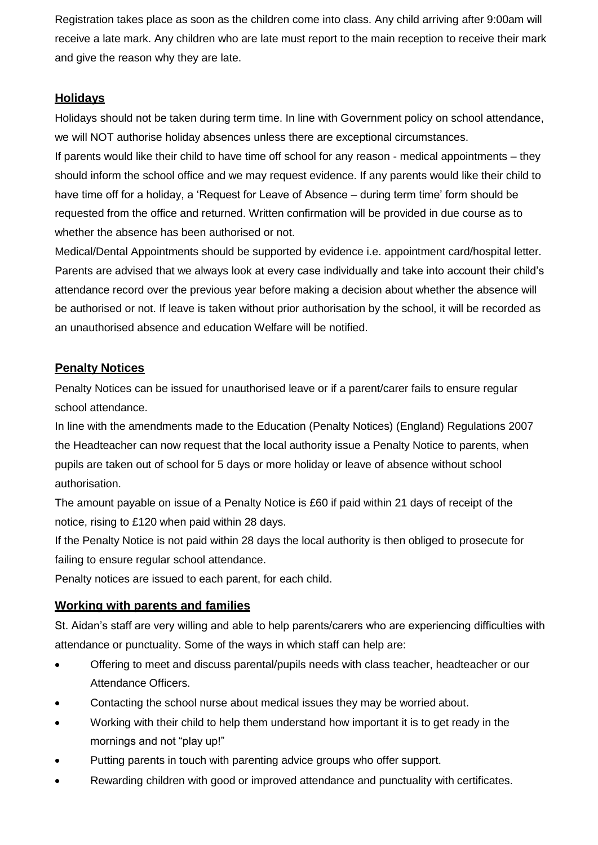Registration takes place as soon as the children come into class. Any child arriving after 9:00am will receive a late mark. Any children who are late must report to the main reception to receive their mark and give the reason why they are late.

# **Holidays**

Holidays should not be taken during term time. In line with Government policy on school attendance, we will NOT authorise holiday absences unless there are exceptional circumstances.

If parents would like their child to have time off school for any reason - medical appointments – they should inform the school office and we may request evidence. If any parents would like their child to have time off for a holiday, a 'Request for Leave of Absence – during term time' form should be requested from the office and returned. Written confirmation will be provided in due course as to whether the absence has been authorised or not.

Medical/Dental Appointments should be supported by evidence i.e. appointment card/hospital letter. Parents are advised that we always look at every case individually and take into account their child's attendance record over the previous year before making a decision about whether the absence will be authorised or not. If leave is taken without prior authorisation by the school, it will be recorded as an unauthorised absence and education Welfare will be notified.

# **Penalty Notices**

Penalty Notices can be issued for unauthorised leave or if a parent/carer fails to ensure regular school attendance.

In line with the amendments made to the Education (Penalty Notices) (England) Regulations 2007 the Headteacher can now request that the local authority issue a Penalty Notice to parents, when pupils are taken out of school for 5 days or more holiday or leave of absence without school authorisation.

The amount payable on issue of a Penalty Notice is £60 if paid within 21 days of receipt of the notice, rising to £120 when paid within 28 days.

If the Penalty Notice is not paid within 28 days the local authority is then obliged to prosecute for failing to ensure regular school attendance.

Penalty notices are issued to each parent, for each child.

# **Working with parents and families**

St. Aidan's staff are very willing and able to help parents/carers who are experiencing difficulties with attendance or punctuality. Some of the ways in which staff can help are:

- Offering to meet and discuss parental/pupils needs with class teacher, headteacher or our Attendance Officers.
- Contacting the school nurse about medical issues they may be worried about.
- Working with their child to help them understand how important it is to get ready in the mornings and not "play up!"
- Putting parents in touch with parenting advice groups who offer support.
- Rewarding children with good or improved attendance and punctuality with certificates.